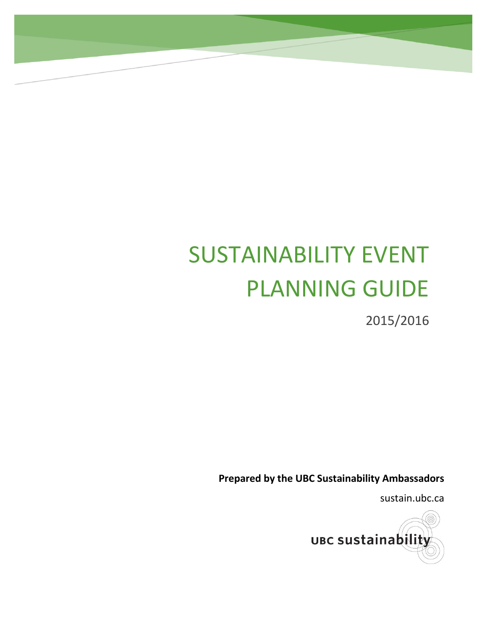# SUSTAINABILITY EVENT PLANNING GUIDE

2015/2016

**Prepared by the UBC Sustainability Ambassadors**

sustain.ubc.ca

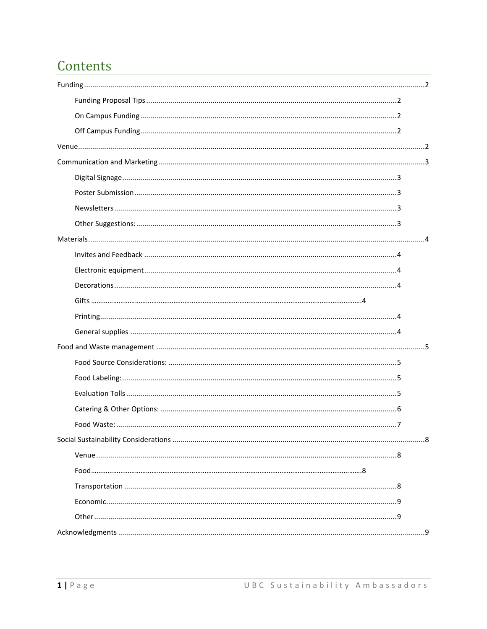### Contents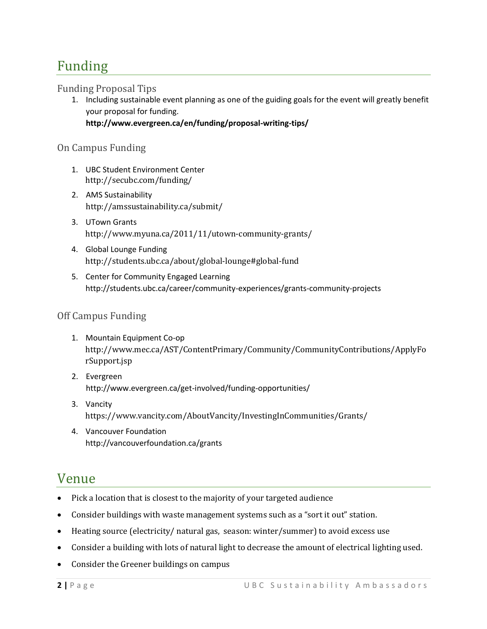### <span id="page-2-0"></span>Funding

#### <span id="page-2-1"></span>Funding Proposal Tips

1. Including sustainable event planning as one of the guiding goals for the event will greatly benefit your proposal for funding. **<http://www.evergreen.ca/en/funding/proposal-writing-tips/>**

#### <span id="page-2-2"></span>On Campus Funding

- 1. UBC Student Environment Center <http://secubc.com/funding/>
- 2. AMS Sustainability <http://amssustainability.ca/submit/>
- 3. UTown Grants <http://www.myuna.ca/2011/11/utown-community-grants/>
- 4. Global Lounge Funding <http://students.ubc.ca/about/global-lounge#global-fund>
- 5. Center for Community Engaged Learning <http://students.ubc.ca/career/community-experiences/grants-community-projects>

#### <span id="page-2-3"></span>Off Campus Funding

- 1. Mountain Equipment Co-op [http://www.mec.ca/AST/ContentPrimary/Community/CommunityContributions/ApplyFo](http://www.mec.ca/AST/ContentPrimary/Community/CommunityContributions/ApplyForSupport.jsp) [rSupport.jsp](http://www.mec.ca/AST/ContentPrimary/Community/CommunityContributions/ApplyForSupport.jsp)
- 2. Evergreen http://www.evergreen.ca/get-involved/funding-opportunities/
- 3. Vancity <https://www.vancity.com/AboutVancity/InvestingInCommunities/Grants/>
- 4. Vancouver Foundation <http://vancouverfoundation.ca/grants>

### <span id="page-2-4"></span>Venue

- Pick a location that is closest to the majority of your targeted audience
- Consider buildings with waste management systems such as a "sort it out" station.
- Heating source (electricity/ natural gas, season: winter/summer) to avoid excess use
- Consider a building with lots of natural light to decrease the amount of electrical lighting used.
- Consider the Greener buildings on campus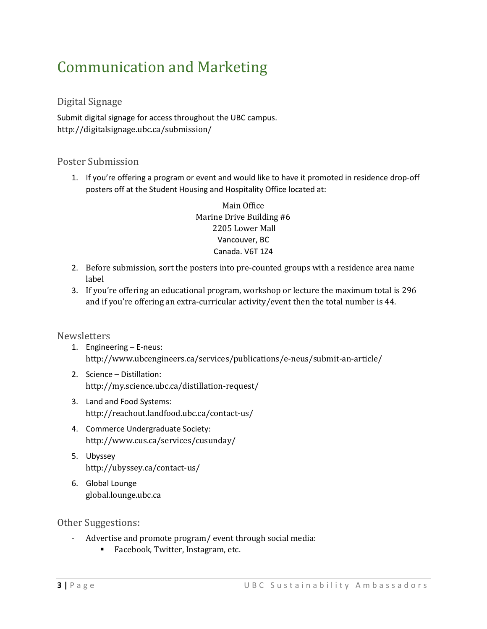## <span id="page-3-0"></span>Communication and Marketing

#### <span id="page-3-1"></span>Digital Signage

Submit digital signage for access throughout the UBC campus. http://digitalsignage.ubc.ca/submission/

#### <span id="page-3-2"></span>Poster Submission

1. If you're offering a program or event and would like to have it promoted in residence drop-off posters off at the Student Housing and Hospitality Office located at:

> Main Office Marine Drive Building #6 2205 Lower Mall Vancouver, BC Canada. V6T 1Z4

- 2. Before submission, sort the posters into pre-counted groups with a residence area name label
- 3. If you're offering an educational program, workshop or lecture the maximum total is 296 and if you're offering an extra-curricular activity/event then the total number is 44.

#### <span id="page-3-3"></span>**Newsletters**

- 1. Engineering E-neus: <http://www.ubcengineers.ca/services/publications/e-neus/submit-an-article/>
- 2. Science Distillation: <http://my.science.ubc.ca/distillation-request/>
- 3. Land and Food Systems: <http://reachout.landfood.ubc.ca/contact-us/>
- 4. Commerce Undergraduate Society: <http://www.cus.ca/services/cusunday/>
- 5. Ubyssey <http://ubyssey.ca/contact-us/>
- 6. Global Lounge [global.lounge.ubc.ca](mailto:global.lounge.ubc.ca)

#### <span id="page-3-4"></span>Other Suggestions:

- Advertise and promote program/ event through social media:
	- **Facebook, Twitter, Instagram, etc.**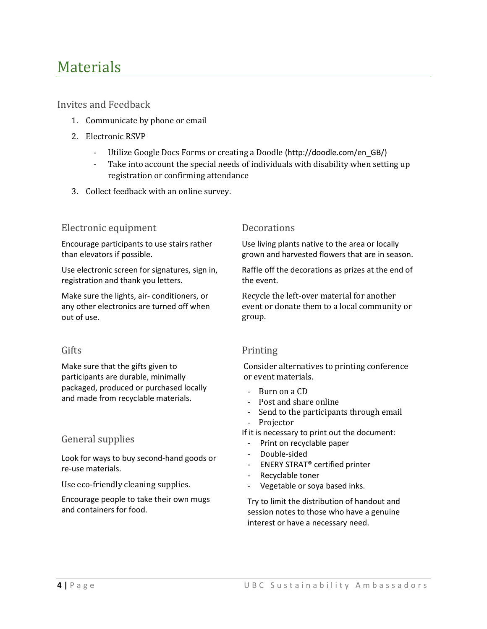### <span id="page-4-0"></span>**Materials**

<span id="page-4-1"></span>Invites and Feedback

- 1. Communicate by phone or email
- 2. Electronic RSVP
	- Utilize Google Docs Forms or creating a Doodle [\(http://doodle.com/en\\_GB/\)](http://doodle.com/en_GB/)
	- Take into account the special needs of individuals with disability when setting up registration or confirming attendance
- 3. Collect feedback with an online survey.

#### <span id="page-4-2"></span>Electronic equipment Decorations

Encourage participants to use stairs rather than elevators if possible.

Use electronic screen for signatures, sign in, registration and thank you letters.

Make sure the lights, air- conditioners, or any other electronics are turned off when out of use.

Make sure that the gifts given to participants are durable, minimally packaged, produced or purchased locally and made from recyclable materials.

#### <span id="page-4-6"></span>General supplies

Look for ways to buy second-hand goods or re-use materials.

Use eco-friendly cleaning supplies.

Encourage people to take their own mugs and containers for food.

<span id="page-4-3"></span>Use living plants native to the area or locally grown and harvested flowers that are in season.

Raffle off the decorations as prizes at the end of the event.

Recycle the left-over material for another event or donate them to a local community or group.

#### <span id="page-4-4"></span>Gifts Printing

<span id="page-4-5"></span>Consider alternatives to printing conference or event materials.

- Burn on a CD
- Post and share online
- Send to the participants through email
- Projector

If it is necessary to print out the document:

- Print on recyclable paper
- Double-sided
- ENERY STRAT® certified printer
- Recyclable toner
- Vegetable or soya based inks.

Try to limit the distribution of handout and session notes to those who have a genuine interest or have a necessary need.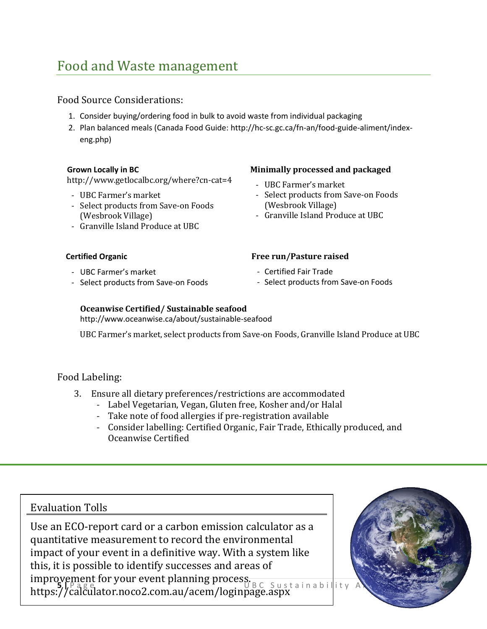### <span id="page-5-0"></span>Food and Waste management

#### <span id="page-5-1"></span>Food Source Considerations:

- 1. Consider buying/ordering food in bulk to avoid waste from individual packaging
- 2. Plan balanced meals (Canada Food Guide: [http://hc-sc.gc.ca/fn-an/food-guide-aliment/index](http://hc-sc.gc.ca/fn-an/food-guide-aliment/index-eng.php)[eng.php\)](http://hc-sc.gc.ca/fn-an/food-guide-aliment/index-eng.php)

#### **Grown Locally in BC**

<http://www.getlocalbc.org/where?cn-cat=4>

- UBC Farmer's market
- Select products from Save-on Foods (Wesbrook Village)
- Granville Island Produce at UBC

#### **Certified Organic**

- UBC Farmer's market
- Select products from Save-on Foods

#### **Minimally processed and packaged**

- UBC Farmer's market
- Select products from Save-on Foods (Wesbrook Village)
- Granville Island Produce at UBC

#### **Free run/Pasture raised**

- Certified Fair Trade
- Select products from Save-on Foods

#### **Oceanwise Certified/ Sustainable seafood** <http://www.oceanwise.ca/about/sustainable-seafood>

UBC Farmer's market, select products from Save-on Foods, Granville Island Produce at UBC

#### <span id="page-5-2"></span>Food Labeling:

- 3. Ensure all dietary preferences/restrictions are accommodated
	- Label Vegetarian, Vegan, Gluten free, Kosher and/or Halal
	- Take note of food allergies if pre-registration available
	- Consider labelling: Certified Organic, Fair Trade, Ethically produced, and Oceanwise Certified

### Evaluation Tolls

**Improvement for your event planning process.**<br>https://page.uk/man.com/man/page/sustainability\_A Use an ECO-report card or a carbon emission calculator as a quantitative measurement to record the environmental impact of your event in a definitive way. With a system like this, it is possible to identify successes and areas of <https://calculator.noco2.com.au/acem/loginpage.aspx>

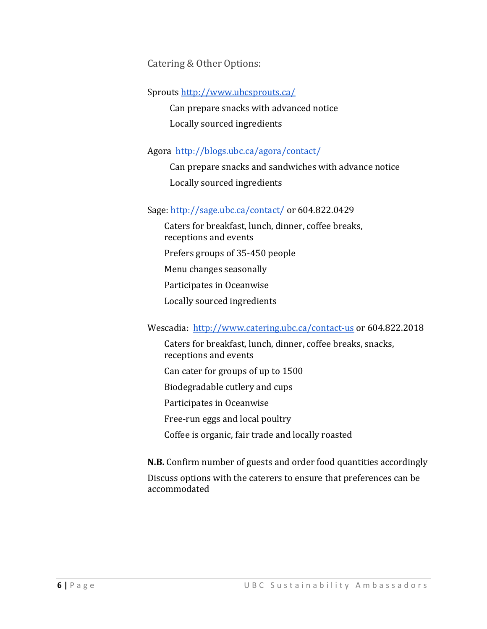<span id="page-6-0"></span>Catering & Other Options:

Sprouts<http://www.ubcsprouts.ca/>

Can prepare snacks with advanced notice Locally sourced ingredients

Agora <http://blogs.ubc.ca/agora/contact/>

Can prepare snacks and sandwiches with advance notice Locally sourced ingredients

#### Sage:<http://sage.ubc.ca/contact/> or 604.822.0429

Caters for breakfast, lunch, dinner, coffee breaks, receptions and events Prefers groups of 35-450 people Menu changes seasonally Participates in Oceanwise Locally sourced ingredients

#### Wescadia: <http://www.catering.ubc.ca/contact-us> or 604.822.2018

Caters for breakfast, lunch, dinner, coffee breaks, snacks, receptions and events Can cater for groups of up to 1500 Biodegradable cutlery and cups Participates in Oceanwise Free-run eggs and local poultry Coffee is organic, fair trade and locally roasted **N.B.** Confirm number of guests and order food quantities accordingly

Discuss options with the caterers to ensure that preferences can be accommodated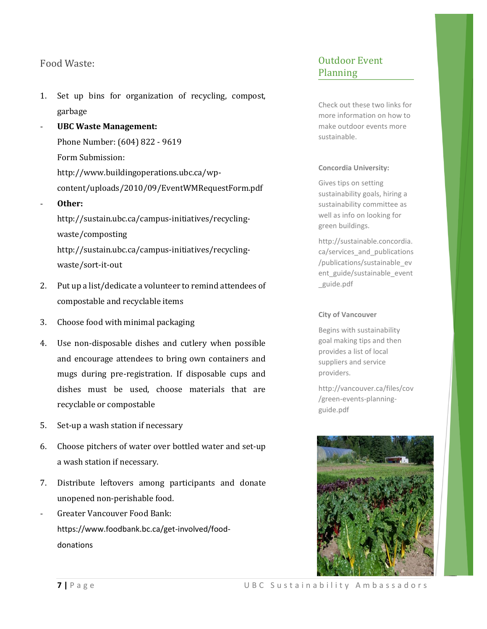#### <span id="page-7-0"></span>Food Waste:

- 1. Set up bins for organization of recycling, compost, garbage
- **UBC Waste Management:** Phone Number: (604) 822 - 9619 Form Submission: [http://www.buildingoperations.ubc.ca/wp](http://www.buildingoperations.ubc.ca/wp-content/uploads/2010/09/EventWMRequestForm.pdf)[content/uploads/2010/09/EventWMRequestForm.pdf](http://www.buildingoperations.ubc.ca/wp-content/uploads/2010/09/EventWMRequestForm.pdf) - **Other:** [http://sustain.ubc.ca/campus-initiatives/recycling-](http://sustain.ubc.ca/campus-initiatives/recycling-waste/composting)

[waste/composting](http://sustain.ubc.ca/campus-initiatives/recycling-waste/composting) [http://sustain.ubc.ca/campus-initiatives/recycling](http://sustain.ubc.ca/campus-initiatives/recycling-waste/sort-it-out)[waste/sort-it-out](http://sustain.ubc.ca/campus-initiatives/recycling-waste/sort-it-out)

- 2. Put up a list/dedicate a volunteer to remind attendees of compostable and recyclable items
- 3. Choose food with minimal packaging
- 4. Use non-disposable dishes and cutlery when possible and encourage attendees to bring own containers and mugs during pre-registration. If disposable cups and dishes must be used, choose materials that are recyclable or compostable
- 5. Set-up a wash station if necessary
- 6. Choose pitchers of water over bottled water and set-up a wash station if necessary.
- 7. Distribute leftovers among participants and donate unopened non-perishable food.
- Greater Vancouver Food Bank: [https://www.foodbank.bc.ca/get-involved/food](https://www.foodbank.bc.ca/get-involved/food-donations)[donations](https://www.foodbank.bc.ca/get-involved/food-donations)

#### Outdoor Event Planning

Check out these two links for more information on how to make outdoor events more sustainable.

#### **Concordia University:**

Gives tips on setting sustainability goals, hiring a sustainability committee as well as info on looking for green buildings.

http://sustainable.concordia. ca/services\_and\_publications /publications/sustainable\_ev ent\_guide/sustainable\_event \_guide.pdf

#### **City of Vancouver**

Begins with sustainability goal making tips and then provides a list of local suppliers and service providers.

http://vancouver.ca/files/cov /green-events-planningguide.pdf

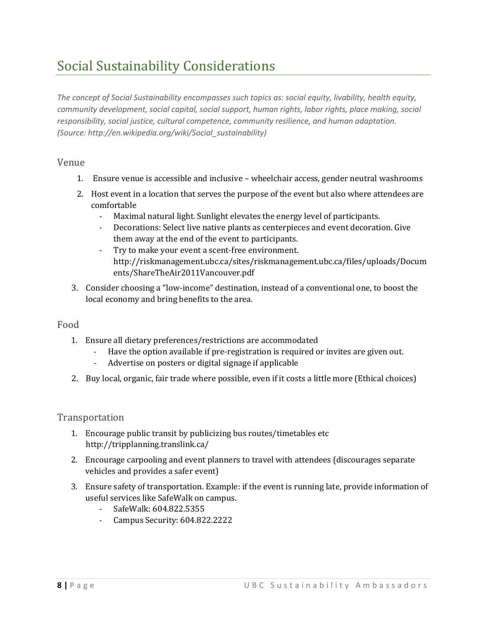## <span id="page-8-0"></span>Social Sustainability Considerations

*The concept of Social Sustainability encompasses such topics as: social equity, livability, health equity, community development, social capital, social support, human rights, labor rights, place making, social responsibility, social justice, cultural competence, community resilience, and human adaptation. (Source: http://en.wikipedia.org/wiki/Social\_sustainability)*

#### <span id="page-8-1"></span>Venue

- 1. Ensure venue is accessible and inclusive wheelchair access, gender neutral washrooms
- 2. Host event in a location that serves the purpose of the event but also where attendees are comfortable
	- Maximal natural light. Sunlight elevates the energy level of participants.
	- Decorations: Select live native plants as centerpieces and event decoration. Give them away at the end of the event to participants.
	- Try to make your event a scent-free environment. [http://riskmanagement.ubc.ca/sites/riskmanagement.ubc.ca/files/uploads/Docum](http://riskmanagement.ubc.ca/sites/riskmanagement.ubc.ca/files/uploads/Documents/ShareTheAir2011Vancouver.pdf) [ents/ShareTheAir2011Vancouver.pdf](http://riskmanagement.ubc.ca/sites/riskmanagement.ubc.ca/files/uploads/Documents/ShareTheAir2011Vancouver.pdf)
- 3. Consider choosing a "low-income" destination, instead of a conventional one, to boost the local economy and bring benefits to the area.

### <span id="page-8-2"></span>Food

- 1. Ensure all dietary preferences/restrictions are accommodated
	- Have the option available if pre-registration is required or invites are given out.
	- Advertise on posters or digital signage if applicable
- 2. Buy local, organic, fair trade where possible, even if it costs a little more (Ethical choices)

#### <span id="page-8-3"></span>Transportation

- 1. Encourage public transit by publicizing bus routes/timetables etc <http://tripplanning.translink.ca/>
- 2. Encourage carpooling and event planners to travel with attendees (discourages separate vehicles and provides a safer event)
- 3. Ensure safety of transportation. Example: if the event is running late, provide information of useful services like SafeWalk on campus.
	- SafeWalk: 604.822.5355
	- Campus Security: 604.822.2222